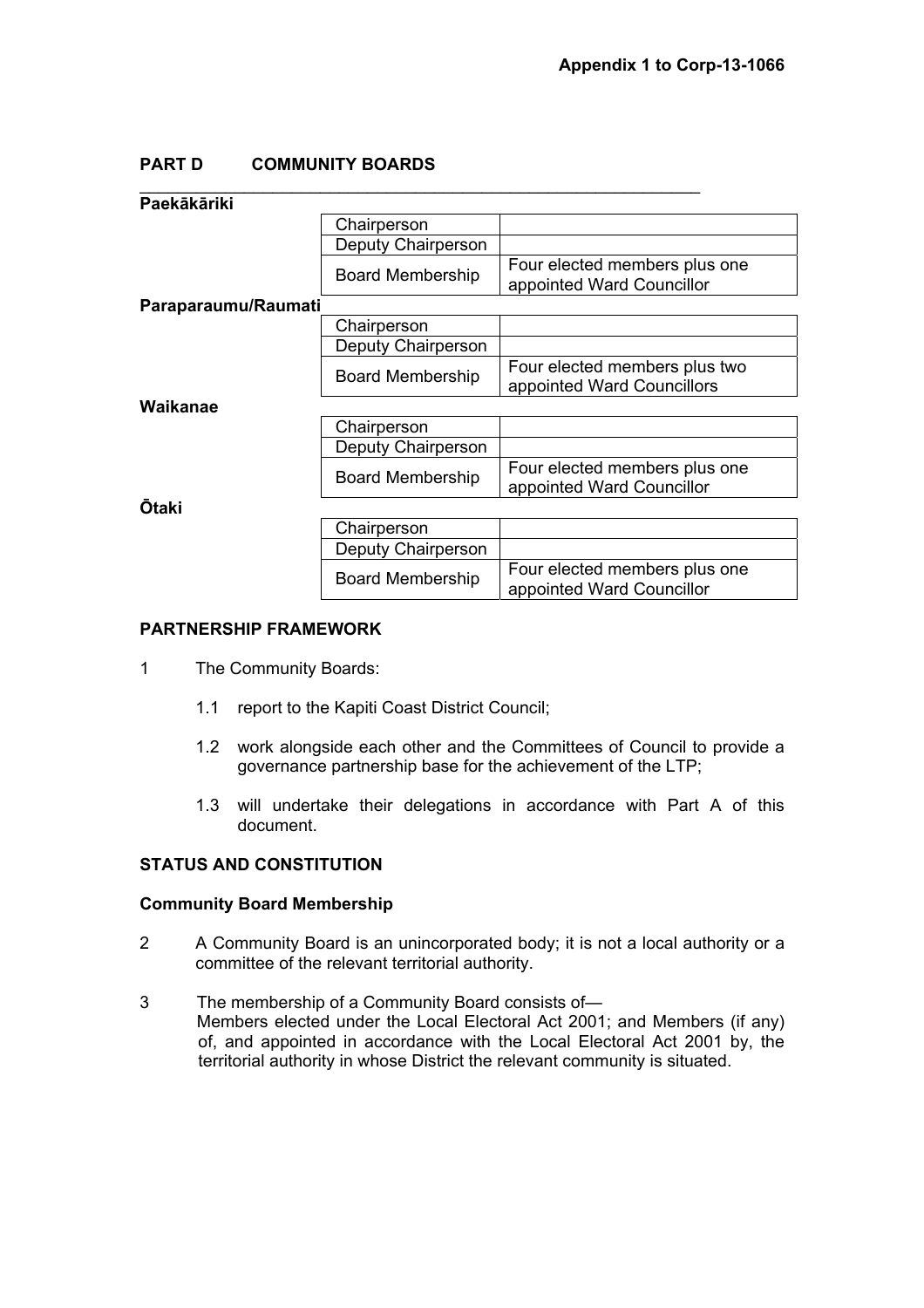# **PART D COMMUNITY BOARDS**

| Paekākāriki         |                         |                                                             |
|---------------------|-------------------------|-------------------------------------------------------------|
|                     | Chairperson             |                                                             |
|                     | Deputy Chairperson      |                                                             |
|                     | <b>Board Membership</b> | Four elected members plus one<br>appointed Ward Councillor  |
| Paraparaumu/Raumati |                         |                                                             |
|                     | Chairperson             |                                                             |
|                     | Deputy Chairperson      |                                                             |
|                     | <b>Board Membership</b> | Four elected members plus two<br>appointed Ward Councillors |
| Waikanae            |                         |                                                             |
|                     | Chairperson             |                                                             |
|                     | Deputy Chairperson      |                                                             |
|                     | <b>Board Membership</b> | Four elected members plus one<br>appointed Ward Councillor  |
| <b>Otaki</b>        |                         |                                                             |
|                     | Chairperson             |                                                             |
|                     | Deputy Chairperson      |                                                             |
|                     | <b>Board Membership</b> | Four elected members plus one<br>appointed Ward Councillor  |

## **PARTNERSHIP FRAMEWORK**

- 1 The Community Boards:
	- 1.1 report to the Kapiti Coast District Council;
	- 1.2 work alongside each other and the Committees of Council to provide a governance partnership base for the achievement of the LTP;
	- 1.3 will undertake their delegations in accordance with Part A of this document.

## **STATUS AND CONSTITUTION**

#### **Community Board Membership**

- 2 A Community Board is an unincorporated body; it is not a local authority or a committee of the relevant territorial authority.
- 3 The membership of a Community Board consists of— Members elected under the Local Electoral Act 2001; and Members (if any) of, and appointed in accordance with the Local Electoral Act 2001 by, the territorial authority in whose District the relevant community is situated.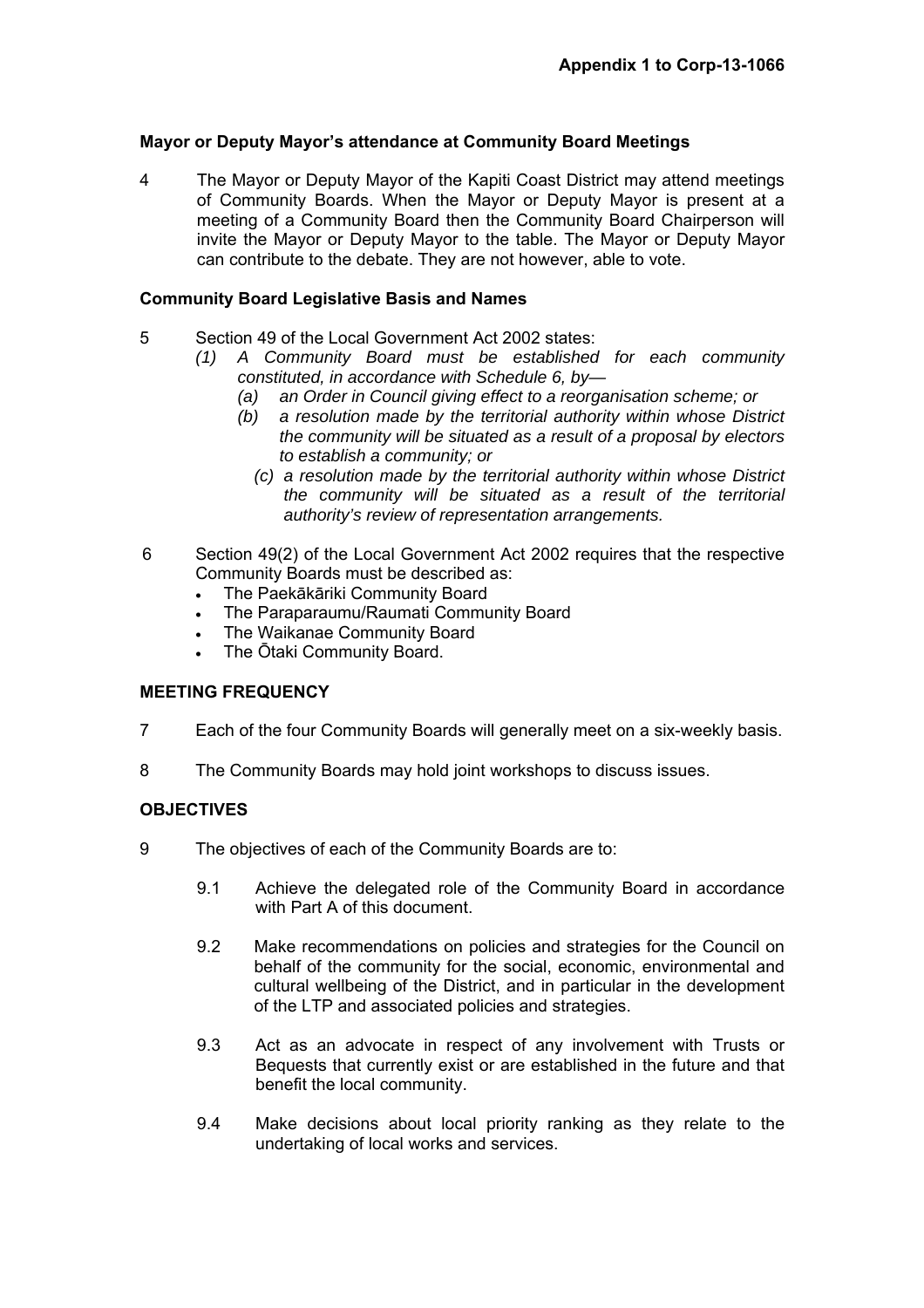## **Mayor or Deputy Mayor's attendance at Community Board Meetings**

4 The Mayor or Deputy Mayor of the Kapiti Coast District may attend meetings of Community Boards. When the Mayor or Deputy Mayor is present at a meeting of a Community Board then the Community Board Chairperson will invite the Mayor or Deputy Mayor to the table. The Mayor or Deputy Mayor can contribute to the debate. They are not however, able to vote.

## **Community Board Legislative Basis and Names**

- 5 Section 49 of the Local Government Act 2002 states:
	- *(1) A Community Board must be established for each community constituted, in accordance with Schedule 6, by—* 
		- *(a) an Order in Council giving effect to a reorganisation scheme; or*
		- *(b) a resolution made by the territorial authority within whose District the community will be situated as a result of a proposal by electors to establish a community; or* 
			- *(c) a resolution made by the territorial authority within whose District the community will be situated as a result of the territorial authority's review of representation arrangements.*
- 6 Section 49(2) of the Local Government Act 2002 requires that the respective Community Boards must be described as:
	- The Paekākāriki Community Board
	- The Paraparaumu/Raumati Community Board
	- The Waikanae Community Board
	- The Ōtaki Community Board.

## **MEETING FREQUENCY**

- 7 Each of the four Community Boards will generally meet on a six-weekly basis.
- 8 The Community Boards may hold joint workshops to discuss issues.

## **OBJECTIVES**

- 9 The objectives of each of the Community Boards are to:
	- 9.1 Achieve the delegated role of the Community Board in accordance with Part A of this document.
	- 9.2 Make recommendations on policies and strategies for the Council on behalf of the community for the social, economic, environmental and cultural wellbeing of the District, and in particular in the development of the LTP and associated policies and strategies.
	- 9.3 Act as an advocate in respect of any involvement with Trusts or Bequests that currently exist or are established in the future and that benefit the local community.
	- 9.4 Make decisions about local priority ranking as they relate to the undertaking of local works and services.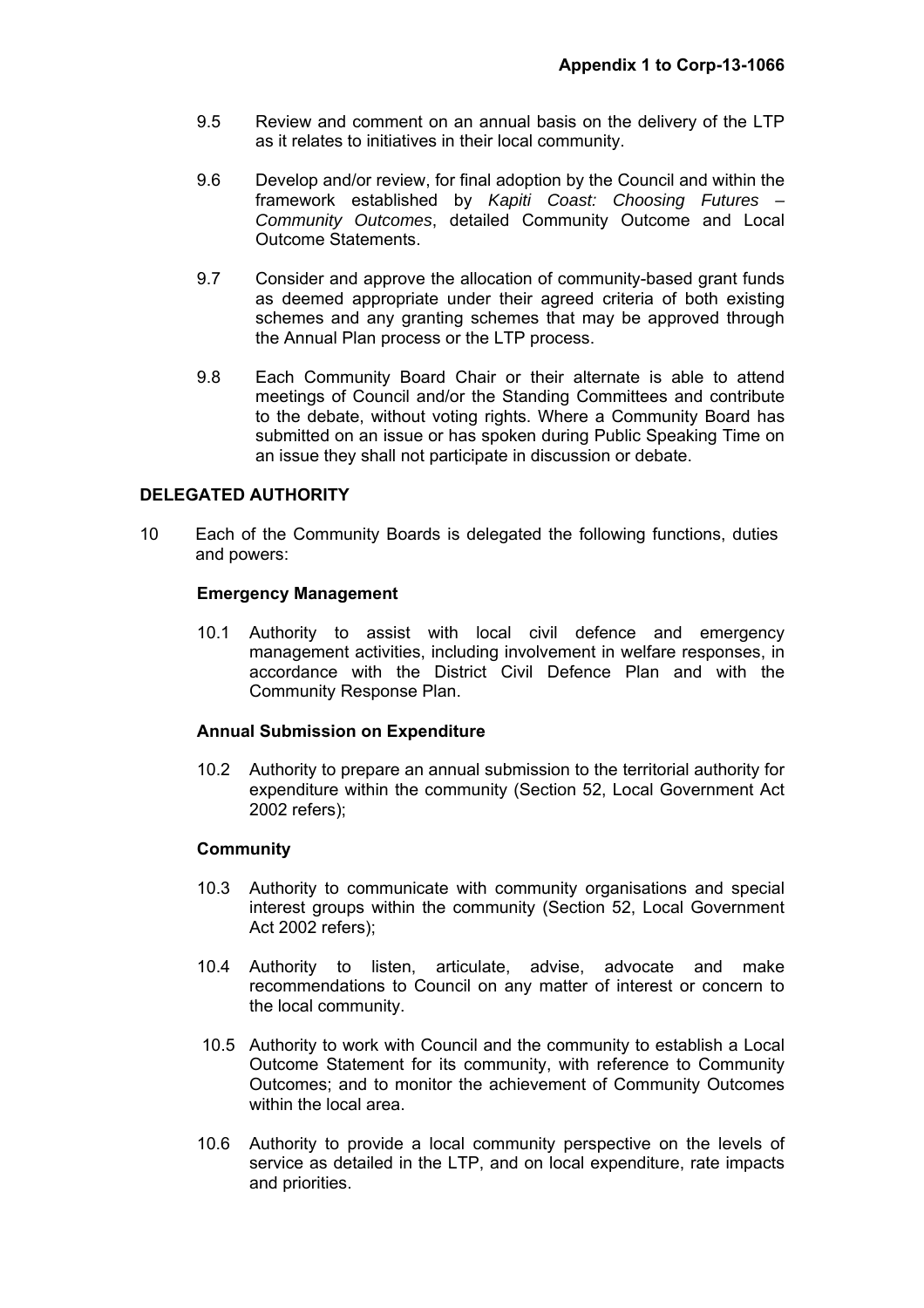- 9.5 Review and comment on an annual basis on the delivery of the LTP as it relates to initiatives in their local community.
- 9.6 Develop and/or review, for final adoption by the Council and within the framework established by *Kapiti Coast: Choosing Futures – Community Outcomes*, detailed Community Outcome and Local Outcome Statements.
- 9.7 Consider and approve the allocation of community-based grant funds as deemed appropriate under their agreed criteria of both existing schemes and any granting schemes that may be approved through the Annual Plan process or the LTP process.
- 9.8 Each Community Board Chair or their alternate is able to attend meetings of Council and/or the Standing Committees and contribute to the debate, without voting rights. Where a Community Board has submitted on an issue or has spoken during Public Speaking Time on an issue they shall not participate in discussion or debate.

## **DELEGATED AUTHORITY**

10 Each of the Community Boards is delegated the following functions, duties and powers:

#### **Emergency Management**

10.1 Authority to assist with local civil defence and emergency management activities, including involvement in welfare responses, in accordance with the District Civil Defence Plan and with the Community Response Plan.

#### **Annual Submission on Expenditure**

10.2 Authority to prepare an annual submission to the territorial authority for expenditure within the community (Section 52, Local Government Act 2002 refers);

#### **Community**

- 10.3 Authority to communicate with community organisations and special interest groups within the community (Section 52, Local Government Act 2002 refers);
- 10.4 Authority to listen, articulate, advise, advocate and make recommendations to Council on any matter of interest or concern to the local community.
- 10.5 Authority to work with Council and the community to establish a Local Outcome Statement for its community, with reference to Community Outcomes; and to monitor the achievement of Community Outcomes within the local area.
- 10.6 Authority to provide a local community perspective on the levels of service as detailed in the LTP, and on local expenditure, rate impacts and priorities.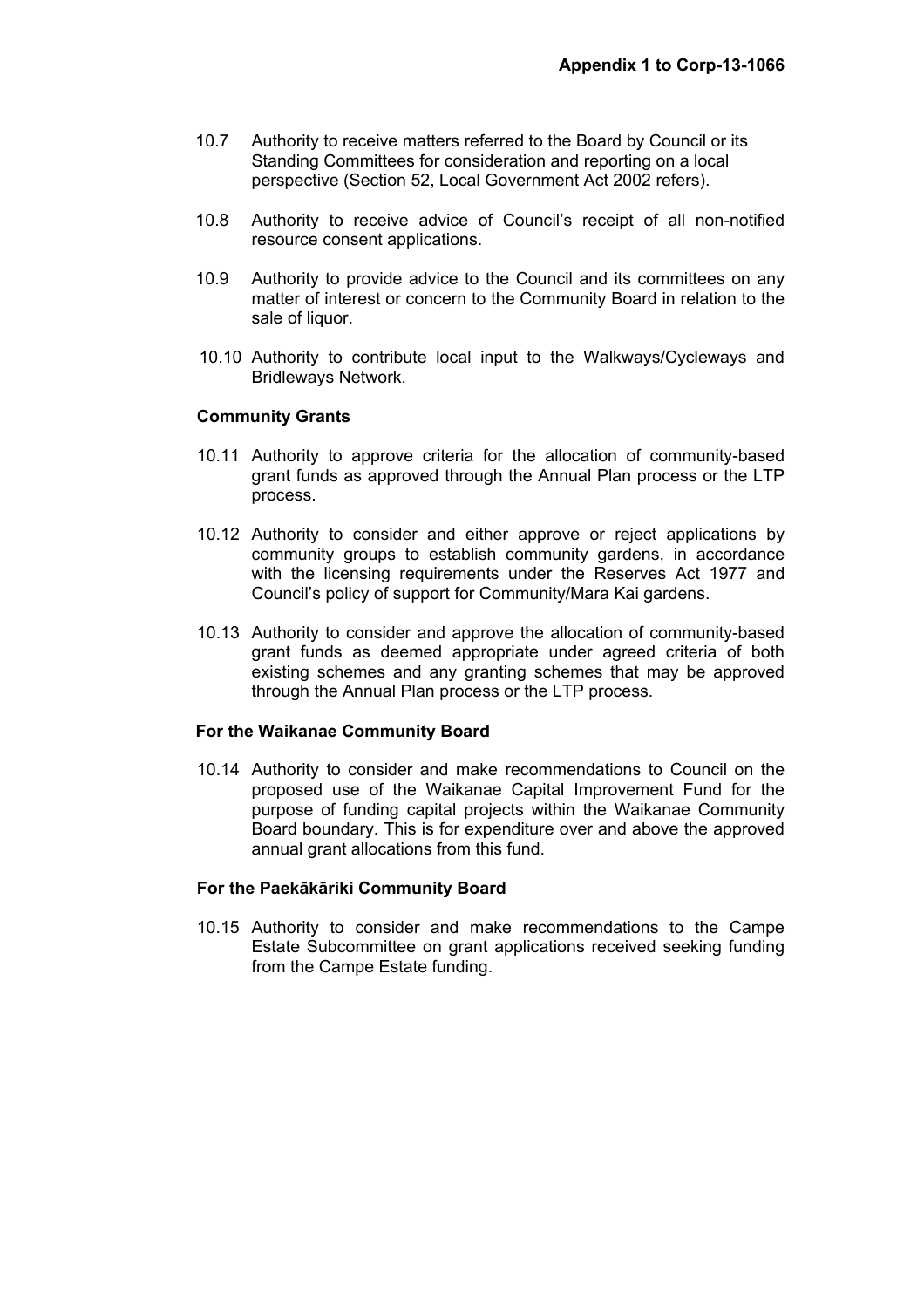- 10.7 Authority to receive matters referred to the Board by Council or its Standing Committees for consideration and reporting on a local perspective (Section 52, Local Government Act 2002 refers).
- 10.8 Authority to receive advice of Council's receipt of all non-notified resource consent applications.
- 10.9 Authority to provide advice to the Council and its committees on any matter of interest or concern to the Community Board in relation to the sale of liquor.
- 10.10 Authority to contribute local input to the Walkways/Cycleways and Bridleways Network.

#### **Community Grants**

- 10.11 Authority to approve criteria for the allocation of community-based grant funds as approved through the Annual Plan process or the LTP process.
- 10.12 Authority to consider and either approve or reject applications by community groups to establish community gardens, in accordance with the licensing requirements under the Reserves Act 1977 and Council's policy of support for Community/Mara Kai gardens.
- 10.13 Authority to consider and approve the allocation of community-based grant funds as deemed appropriate under agreed criteria of both existing schemes and any granting schemes that may be approved through the Annual Plan process or the LTP process.

#### **For the Waikanae Community Board**

10.14 Authority to consider and make recommendations to Council on the proposed use of the Waikanae Capital Improvement Fund for the purpose of funding capital projects within the Waikanae Community Board boundary. This is for expenditure over and above the approved annual grant allocations from this fund.

#### **For the Paekākāriki Community Board**

10.15 Authority to consider and make recommendations to the Campe Estate Subcommittee on grant applications received seeking funding from the Campe Estate funding.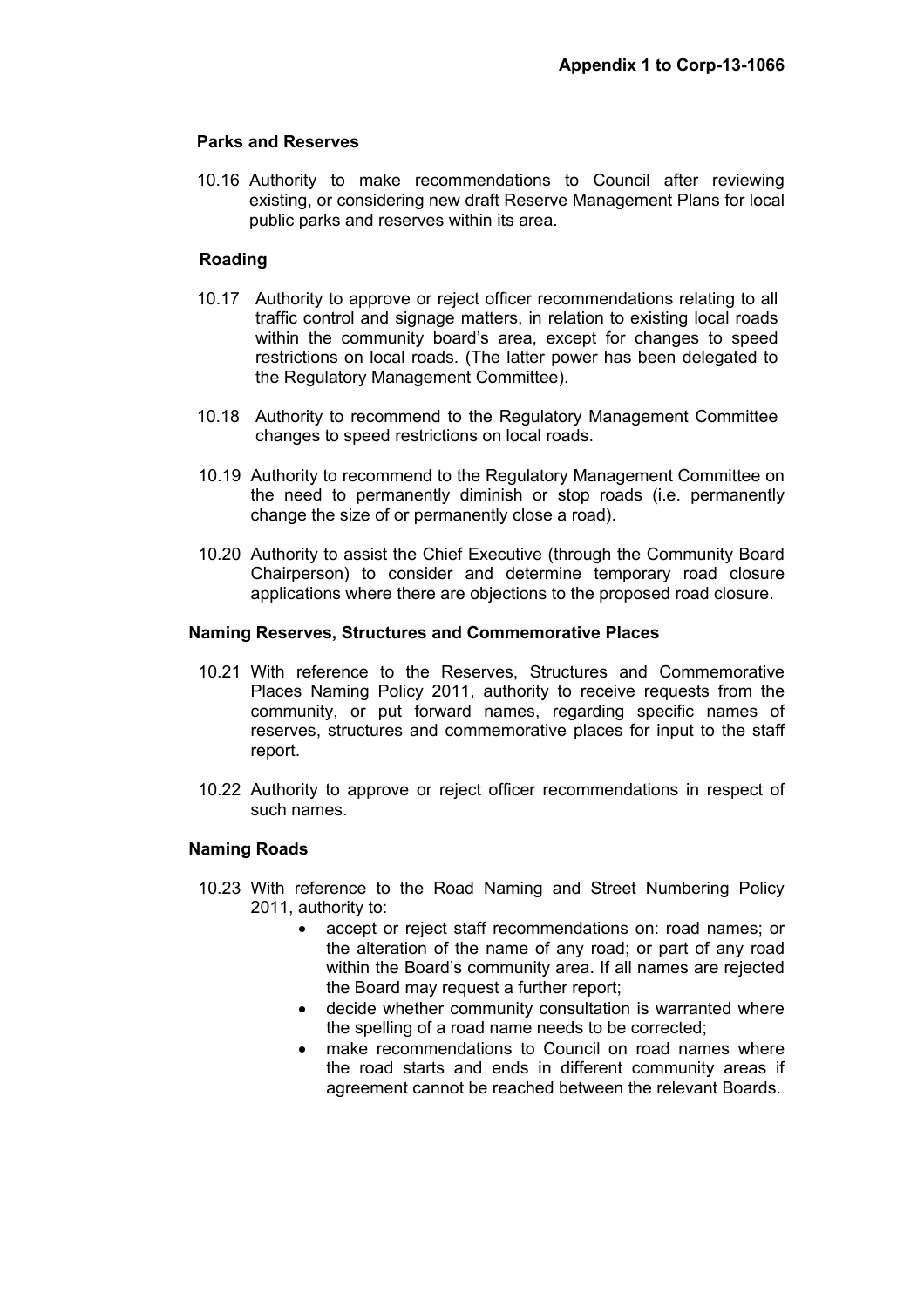## **Parks and Reserves**

10.16 Authority to make recommendations to Council after reviewing existing, or considering new draft Reserve Management Plans for local public parks and reserves within its area.

## **Roading**

- 10.17 Authority to approve or reject officer recommendations relating to all traffic control and signage matters, in relation to existing local roads within the community board's area, except for changes to speed restrictions on local roads. (The latter power has been delegated to the Regulatory Management Committee).
- 10.18 Authority to recommend to the Regulatory Management Committee changes to speed restrictions on local roads.
- 10.19 Authority to recommend to the Regulatory Management Committee on the need to permanently diminish or stop roads (i.e. permanently change the size of or permanently close a road).
- 10.20 Authority to assist the Chief Executive (through the Community Board Chairperson) to consider and determine temporary road closure applications where there are objections to the proposed road closure.

#### **Naming Reserves, Structures and Commemorative Places**

- 10.21 With reference to the Reserves, Structures and Commemorative Places Naming Policy 2011, authority to receive requests from the community, or put forward names, regarding specific names of reserves, structures and commemorative places for input to the staff report.
- 10.22 Authority to approve or reject officer recommendations in respect of such names.

#### **Naming Roads**

- 10.23 With reference to the Road Naming and Street Numbering Policy 2011, authority to:
	- accept or reject staff recommendations on: road names; or the alteration of the name of any road; or part of any road within the Board's community area. If all names are rejected the Board may request a further report;
	- decide whether community consultation is warranted where the spelling of a road name needs to be corrected;
	- make recommendations to Council on road names where the road starts and ends in different community areas if agreement cannot be reached between the relevant Boards.